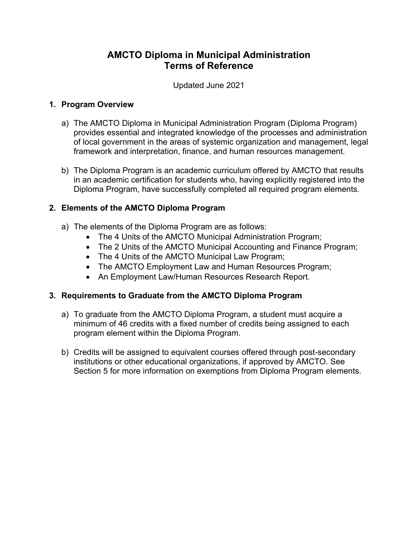# **AMCTO Diploma in Municipal Administration Terms of Reference**

Updated June 2021

## **1. Program Overview**

- a) The AMCTO Diploma in Municipal Administration Program (Diploma Program) provides essential and integrated knowledge of the processes and administration of local government in the areas of systemic organization and management, legal framework and interpretation, finance, and human resources management.
- b) The Diploma Program is an academic curriculum offered by AMCTO that results in an academic certification for students who, having explicitly registered into the Diploma Program, have successfully completed all required program elements.

## **2. Elements of the AMCTO Diploma Program**

- a) The elements of the Diploma Program are as follows:
	- The 4 Units of the AMCTO Municipal Administration Program;
	- The 2 Units of the AMCTO Municipal Accounting and Finance Program;
	- The 4 Units of the AMCTO Municipal Law Program;
	- The AMCTO Employment Law and Human Resources Program;
	- An Employment Law/Human Resources Research Report.

## **3. Requirements to Graduate from the AMCTO Diploma Program**

- a) To graduate from the AMCTO Diploma Program, a student must acquire a minimum of 46 credits with a fixed number of credits being assigned to each program element within the Diploma Program.
- b) Credits will be assigned to equivalent courses offered through post-secondary institutions or other educational organizations, if approved by AMCTO. See Section 5 for more information on exemptions from Diploma Program elements.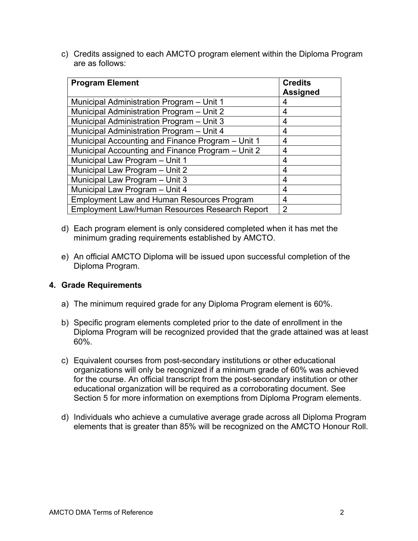c) Credits assigned to each AMCTO program element within the Diploma Program are as follows:

| <b>Program Element</b>                                | <b>Credits</b><br><b>Assigned</b> |
|-------------------------------------------------------|-----------------------------------|
| Municipal Administration Program - Unit 1             | 4                                 |
| Municipal Administration Program - Unit 2             | 4                                 |
| Municipal Administration Program - Unit 3             | 4                                 |
| Municipal Administration Program - Unit 4             | 4                                 |
| Municipal Accounting and Finance Program - Unit 1     | 4                                 |
| Municipal Accounting and Finance Program - Unit 2     | 4                                 |
| Municipal Law Program - Unit 1                        | 4                                 |
| Municipal Law Program - Unit 2                        | 4                                 |
| Municipal Law Program - Unit 3                        | 4                                 |
| Municipal Law Program - Unit 4                        | 4                                 |
| <b>Employment Law and Human Resources Program</b>     | 4                                 |
| <b>Employment Law/Human Resources Research Report</b> | $\overline{2}$                    |

- d) Each program element is only considered completed when it has met the minimum grading requirements established by AMCTO.
- e) An official AMCTO Diploma will be issued upon successful completion of the Diploma Program.

#### **4. Grade Requirements**

- a) The minimum required grade for any Diploma Program element is 60%.
- b) Specific program elements completed prior to the date of enrollment in the Diploma Program will be recognized provided that the grade attained was at least 60%.
- c) Equivalent courses from post-secondary institutions or other educational organizations will only be recognized if a minimum grade of 60% was achieved for the course. An official transcript from the post-secondary institution or other educational organization will be required as a corroborating document. See Section 5 for more information on exemptions from Diploma Program elements.
- d) Individuals who achieve a cumulative average grade across all Diploma Program elements that is greater than 85% will be recognized on the AMCTO Honour Roll.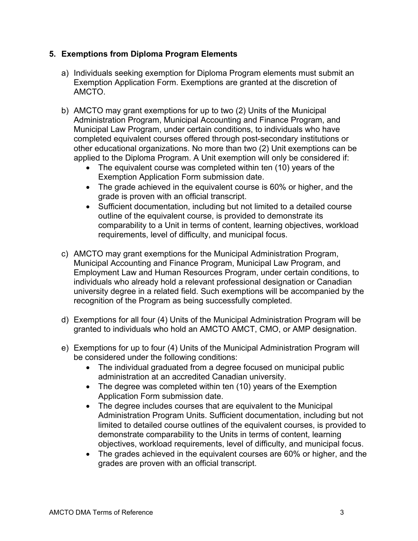## **5. Exemptions from Diploma Program Elements**

- a) Individuals seeking exemption for Diploma Program elements must submit an Exemption Application Form. Exemptions are granted at the discretion of AMCTO.
- b) AMCTO may grant exemptions for up to two (2) Units of the Municipal Administration Program, Municipal Accounting and Finance Program, and Municipal Law Program, under certain conditions, to individuals who have completed equivalent courses offered through post-secondary institutions or other educational organizations. No more than two (2) Unit exemptions can be applied to the Diploma Program. A Unit exemption will only be considered if:
	- The equivalent course was completed within ten (10) years of the Exemption Application Form submission date.
	- The grade achieved in the equivalent course is 60% or higher, and the grade is proven with an official transcript.
	- Sufficient documentation, including but not limited to a detailed course outline of the equivalent course, is provided to demonstrate its comparability to a Unit in terms of content, learning objectives, workload requirements, level of difficulty, and municipal focus.
- c) AMCTO may grant exemptions for the Municipal Administration Program, Municipal Accounting and Finance Program, Municipal Law Program, and Employment Law and Human Resources Program, under certain conditions, to individuals who already hold a relevant professional designation or Canadian university degree in a related field. Such exemptions will be accompanied by the recognition of the Program as being successfully completed.
- d) Exemptions for all four (4) Units of the Municipal Administration Program will be granted to individuals who hold an AMCTO AMCT, CMO, or AMP designation.
- e) Exemptions for up to four (4) Units of the Municipal Administration Program will be considered under the following conditions:
	- The individual graduated from a degree focused on municipal public administration at an accredited Canadian university.
	- The degree was completed within ten (10) years of the Exemption Application Form submission date.
	- The degree includes courses that are equivalent to the Municipal Administration Program Units. Sufficient documentation, including but not limited to detailed course outlines of the equivalent courses, is provided to demonstrate comparability to the Units in terms of content, learning objectives, workload requirements, level of difficulty, and municipal focus.
	- The grades achieved in the equivalent courses are 60% or higher, and the grades are proven with an official transcript.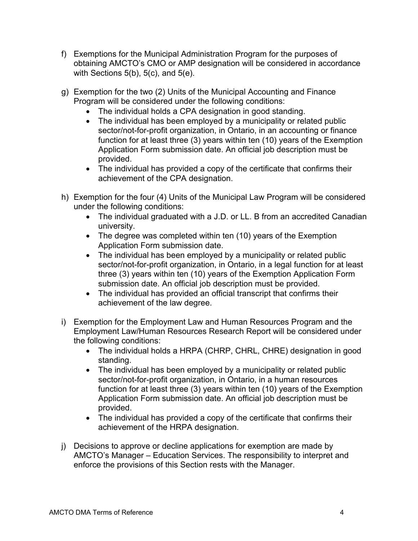- f) Exemptions for the Municipal Administration Program for the purposes of obtaining AMCTO's CMO or AMP designation will be considered in accordance with Sections  $5(b)$ ,  $5(c)$ , and  $5(e)$ .
- g) Exemption for the two (2) Units of the Municipal Accounting and Finance Program will be considered under the following conditions:
	- The individual holds a CPA designation in good standing.
	- The individual has been employed by a municipality or related public sector/not-for-profit organization, in Ontario, in an accounting or finance function for at least three (3) years within ten (10) years of the Exemption Application Form submission date. An official job description must be provided.
	- The individual has provided a copy of the certificate that confirms their achievement of the CPA designation.
- h) Exemption for the four (4) Units of the Municipal Law Program will be considered under the following conditions:
	- The individual graduated with a J.D. or LL. B from an accredited Canadian university.
	- The degree was completed within ten (10) years of the Exemption Application Form submission date.
	- The individual has been employed by a municipality or related public sector/not-for-profit organization, in Ontario, in a legal function for at least three (3) years within ten (10) years of the Exemption Application Form submission date. An official job description must be provided.
	- The individual has provided an official transcript that confirms their achievement of the law degree.
- i) Exemption for the Employment Law and Human Resources Program and the Employment Law/Human Resources Research Report will be considered under the following conditions:
	- The individual holds a HRPA (CHRP, CHRL, CHRE) designation in good standing.
	- The individual has been employed by a municipality or related public sector/not-for-profit organization, in Ontario, in a human resources function for at least three (3) years within ten (10) years of the Exemption Application Form submission date. An official job description must be provided.
	- The individual has provided a copy of the certificate that confirms their achievement of the HRPA designation.
- j) Decisions to approve or decline applications for exemption are made by AMCTO's Manager – Education Services. The responsibility to interpret and enforce the provisions of this Section rests with the Manager.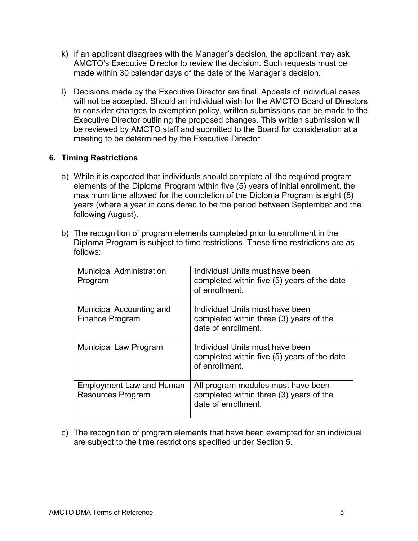- k) If an applicant disagrees with the Manager's decision, the applicant may ask AMCTO's Executive Director to review the decision. Such requests must be made within 30 calendar days of the date of the Manager's decision.
- l) Decisions made by the Executive Director are final. Appeals of individual cases will not be accepted. Should an individual wish for the AMCTO Board of Directors to consider changes to exemption policy, written submissions can be made to the Executive Director outlining the proposed changes. This written submission will be reviewed by AMCTO staff and submitted to the Board for consideration at a meeting to be determined by the Executive Director.

### **6. Timing Restrictions**

- a) While it is expected that individuals should complete all the required program elements of the Diploma Program within five (5) years of initial enrollment, the maximum time allowed for the completion of the Diploma Program is eight (8) years (where a year in considered to be the period between September and the following August).
- b) The recognition of program elements completed prior to enrollment in the Diploma Program is subject to time restrictions. These time restrictions are as follows:

| <b>Municipal Administration</b><br>Program                  | Individual Units must have been<br>completed within five (5) years of the date<br>of enrollment.     |
|-------------------------------------------------------------|------------------------------------------------------------------------------------------------------|
| <b>Municipal Accounting and</b><br><b>Finance Program</b>   | Individual Units must have been<br>completed within three (3) years of the<br>date of enrollment.    |
| <b>Municipal Law Program</b>                                | Individual Units must have been<br>completed within five (5) years of the date<br>of enrollment.     |
| <b>Employment Law and Human</b><br><b>Resources Program</b> | All program modules must have been<br>completed within three (3) years of the<br>date of enrollment. |

c) The recognition of program elements that have been exempted for an individual are subject to the time restrictions specified under Section 5.